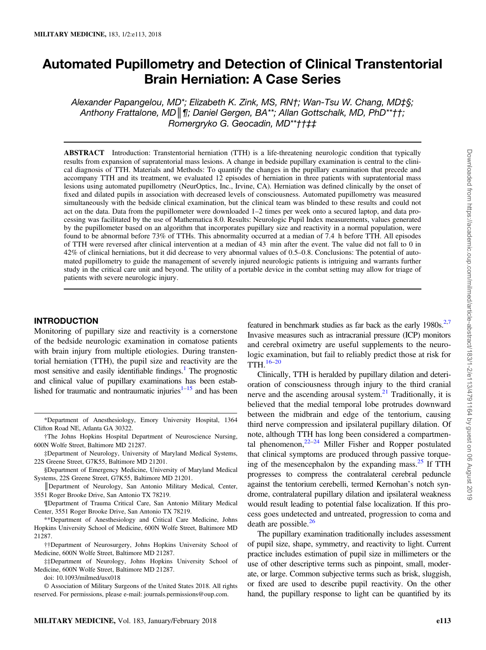# Automated Pupillometry and Detection of Clinical Transtentorial Brain Herniation: A Case Series

Alexander Papangelou, MD\*; Elizabeth K. Zink, MS, RN†; Wan-Tsu W. Chang, MD‡§; Anthony Frattalone, MD | ¶; Daniel Gergen, BA\*\*; Allan Gottschalk, MD, PhD\*\*††; Romergryko G. Geocadin, MD\*\*††‡‡

ABSTRACT Introduction: Transtentorial herniation (TTH) is a life-threatening neurologic condition that typically results from expansion of supratentorial mass lesions. A change in bedside pupillary examination is central to the clinical diagnosis of TTH. Materials and Methods: To quantify the changes in the pupillary examination that precede and accompany TTH and its treatment, we evaluated 12 episodes of herniation in three patients with supratentorial mass lesions using automated pupillometry (NeurOptics, Inc., Irvine, CA). Herniation was defined clinically by the onset of fixed and dilated pupils in association with decreased levels of consciousness. Automated pupillometry was measured simultaneously with the bedside clinical examination, but the clinical team was blinded to these results and could not act on the data. Data from the pupillometer were downloaded 1–2 times per week onto a secured laptop, and data processing was facilitated by the use of Mathematica 8.0. Results: Neurologic Pupil Index measurements, values generated by the pupillometer based on an algorithm that incorporates pupillary size and reactivity in a normal population, were found to be abnormal before 73% of TTHs. This abnormality occurred at a median of 7.4 h before TTH. All episodes of TTH were reversed after clinical intervention at a median of 43 min after the event. The value did not fall to 0 in 42% of clinical herniations, but it did decrease to very abnormal values of 0.5–0.8. Conclusions: The potential of automated pupillometry to guide the management of severely injured neurologic patients is intriguing and warrants further study in the critical care unit and beyond. The utility of a portable device in the combat setting may allow for triage of patients with severe neurologic injury.

#### INTRODUCTION

Monitoring of pupillary size and reactivity is a cornerstone of the bedside neurologic examination in comatose patients with brain injury from multiple etiologies. During transtentorial herniation (TTH), the pupil size and reactivity are the most sensitive and easily identifiable findings. $<sup>1</sup>$  $<sup>1</sup>$  $<sup>1</sup>$  The prognostic</sup> and clinical value of pupillary examinations has been established for traumatic and nontraumatic injuries $1-15$  $1-15$  $1-15$  and has been

\*Department of Anesthesiology, Emory University Hospital, 1364 Clifton Road NE, Atlanta GA 30322.

†The Johns Hopkins Hospital Department of Neuroscience Nursing, 600N Wolfe Street, Baltimore MD 21287.

‡Department of Neurology, University of Maryland Medical Systems, 22S Greene Street, G7K55, Baltimore MD 21201.

§Department of Emergency Medicine, University of Maryland Medical Systems, 22S Greene Street, G7K55, Baltimore MD 21201.

║Department of Neurology, San Antonio Military Medical, Center, 3551 Roger Brooke Drive, San Antonio TX 78219.

¶Department of Trauma Critical Care, San Antonio Military Medical Center, 3551 Roger Brooke Drive, San Antonio TX 78219.

\*\*Department of Anesthesiology and Critical Care Medicine, Johns Hopkins University School of Medicine, 600N Wolfe Street, Baltimore MD 21287.

††Department of Neurosurgery, Johns Hopkins University School of Medicine, 600N Wolfe Street, Baltimore MD 21287.

‡‡Department of Neurology, Johns Hopkins University School of Medicine, 600N Wolfe Street, Baltimore MD 21287.

doi: 10.1093/milmed/usx018

© Association of Military Surgeons of the United States 2018. All rights reserved. For permissions, please e-mail: journals.permissions@oup.com.

featured in benchmark studies as far back as the early  $1980s^{2,7}$ Invasive measures such as intracranial pressure (ICP) monitors and cerebral oximetry are useful supplements to the neurologic examination, but fail to reliably predict those at risk for TTH.[16](#page-8-0)–[20](#page-8-0)

Clinically, TTH is heralded by pupillary dilation and deterioration of consciousness through injury to the third cranial nerve and the ascending arousal system.<sup>21</sup> Traditionally, it is believed that the medial temporal lobe protrudes downward between the midbrain and edge of the tentorium, causing third nerve compression and ipsilateral pupillary dilation. Of note, although TTH has long been considered a compartmental phenomenon, $22-24$  $22-24$  Miller Fisher and Ropper postulated that clinical symptoms are produced through passive torqueing of the mesencephalon by the expanding mass. $25$  If TTH progresses to compress the contralateral cerebral peduncle against the tentorium cerebelli, termed Kernohan's notch syndrome, contralateral pupillary dilation and ipsilateral weakness would result leading to potential false localization. If this process goes undetected and untreated, progression to coma and death are possible. $26$ 

The pupillary examination traditionally includes assessment of pupil size, shape, symmetry, and reactivity to light. Current practice includes estimation of pupil size in millimeters or the use of other descriptive terms such as pinpoint, small, moderate, or large. Common subjective terms such as brisk, sluggish, or fixed are used to describe pupil reactivity. On the other hand, the pupillary response to light can be quantified by its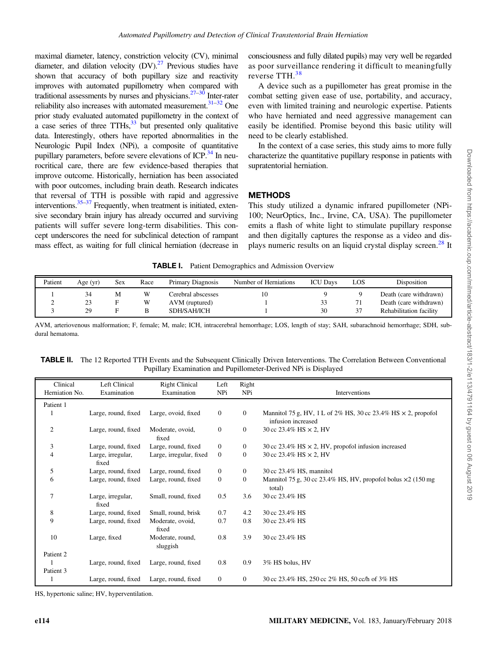<span id="page-1-0"></span>maximal diameter, latency, constriction velocity (CV), minimal diameter, and dilation velocity  $(DV)$ .<sup>27</sup> Previous studies have shown that accuracy of both pupillary size and reactivity improves with automated pupillometry when compared with traditional assessments by nurses and physicians. $27-30$  $27-30$  Inter-rater reliability also increases with automated measurement.<sup>31-[32](#page-8-0)</sup> One prior study evaluated automated pupillometry in the context of a case series of three  $TTHs$ ,  $33$  but presented only qualitative data. Interestingly, others have reported abnormalities in the Neurologic Pupil Index (NPi), a composite of quantitative pupillary parameters, before severe elevations of ICP. $^{34}$  In neurocritical care, there are few evidence-based therapies that improve outcome. Historically, herniation has been associated with poor outcomes, including brain death. Research indicates that reversal of TTH is possible with rapid and aggressive interventions. $35-37$  $35-37$  $35-37$  Frequently, when treatment is initiated, extensive secondary brain injury has already occurred and surviving patients will suffer severe long-term disabilities. This concept underscores the need for subclinical detection of rampant mass effect, as waiting for full clinical herniation (decrease in consciousness and fully dilated pupils) may very well be regarded as poor surveillance rendering it difficult to meaningfully reverse TTH.<sup>[38](#page-8-0)</sup>

A device such as a pupillometer has great promise in the combat setting given ease of use, portability, and accuracy, even with limited training and neurologic expertise. Patients who have herniated and need aggressive management can easily be identified. Promise beyond this basic utility will need to be clearly established.

In the context of a case series, this study aims to more fully characterize the quantitative pupillary response in patients with supratentorial herniation.

# METHODS

This study utilized a dynamic infrared pupillometer (NPi-100; NeurOptics, Inc., Irvine, CA, USA). The pupillometer emits a flash of white light to stimulate pupillary response and then digitally captures the response as a video and dis-plays numeric results on an liquid crystal display screen.<sup>[28](#page-8-0)</sup> It

TABLE I. Patient Demographics and Admission Overview

| Patient | Age (yr) | Sex | Race | Primary Diagnosis  | Number of Herniations | <b>ICU Davs</b> | LOS | Disposition             |
|---------|----------|-----|------|--------------------|-----------------------|-----------------|-----|-------------------------|
|         | 34       | м   | W    | Cerebral abscesses |                       |                 |     | Death (care withdrawn)  |
|         | 23       |     | W    | AVM (ruptured)     |                       | 33              |     | Death (care withdrawn)  |
|         | 29       |     |      | SDH/SAH/ICH        |                       | 30              |     | Rehabilitation facility |

AVM, arteriovenous malformation; F, female; M, male; ICH, intracerebral hemorrhage; LOS, length of stay; SAH, subarachnoid hemorrhage; SDH, subdural hematoma.

TABLE II. The 12 Reported TTH Events and the Subsequent Clinically Driven Interventions. The Correlation Between Conventional Pupillary Examination and Pupillometer-Derived NPi is Displayed

| Clinical<br>Herniation No. | Left Clinical<br>Examination | <b>Right Clinical</b><br>Examination | Left<br>NPi    | Right<br>NPi   | Interventions                                                                              |
|----------------------------|------------------------------|--------------------------------------|----------------|----------------|--------------------------------------------------------------------------------------------|
| Patient 1                  |                              |                                      |                |                |                                                                                            |
|                            | Large, round, fixed          | Large, ovoid, fixed                  | $\overline{0}$ | $\mathbf{0}$   | Mannitol 75 g, HV, 1 L of 2% HS, 30 cc 23.4% HS $\times$ 2, propofol<br>infusion increased |
| $\mathfrak{2}$             | Large, round, fixed          | Moderate, ovoid,<br>fixed            | $\overline{0}$ | $\mathbf{0}$   | 30 cc 23.4% HS $\times$ 2, HV                                                              |
| 3                          | Large, round, fixed          | Large, round, fixed                  | $\overline{0}$ | $\mathbf{0}$   | 30 cc 23.4% HS $\times$ 2, HV, propofol infusion increased                                 |
| $\overline{4}$             | Large, irregular,<br>fixed   | Large, irregular, fixed              | $\overline{0}$ | $\mathbf{0}$   | 30 cc 23.4% HS $\times$ 2, HV                                                              |
| 5                          | Large, round, fixed          | Large, round, fixed                  | $\mathbf{0}$   | $\mathbf{0}$   | 30 cc 23.4% HS, mannitol                                                                   |
| 6                          | Large, round, fixed          | Large, round, fixed                  | $\overline{0}$ | $\mathbf{0}$   | Mannitol 75 g, 30 cc 23.4% HS, HV, propofol bolus $\times$ 2 (150 mg)<br>total)            |
| 7                          | Large, irregular,<br>fixed   | Small, round, fixed                  | 0.5            | 3.6            | 30 cc 23.4% HS                                                                             |
| 8                          | Large, round, fixed          | Small, round, brisk                  | 0.7            | 4.2            | 30 cc 23.4% HS                                                                             |
| 9                          | Large, round, fixed          | Moderate, ovoid,<br>fixed            | 0.7            | 0.8            | 30 cc 23.4% HS                                                                             |
| 10                         | Large, fixed                 | Moderate, round,<br>sluggish         | 0.8            | 3.9            | 30 cc 23.4% HS                                                                             |
| Patient 2                  |                              |                                      |                |                |                                                                                            |
| $\mathbf{1}$               | Large, round, fixed          | Large, round, fixed                  | 0.8            | 0.9            | 3% HS bolus, HV                                                                            |
| Patient 3                  |                              |                                      |                |                |                                                                                            |
| 1                          | Large, round, fixed          | Large, round, fixed                  | $\overline{0}$ | $\overline{0}$ | 30 cc 23.4% HS, 250 cc 2% HS, 50 cc/h of 3% HS                                             |

HS, hypertonic saline; HV, hyperventilation.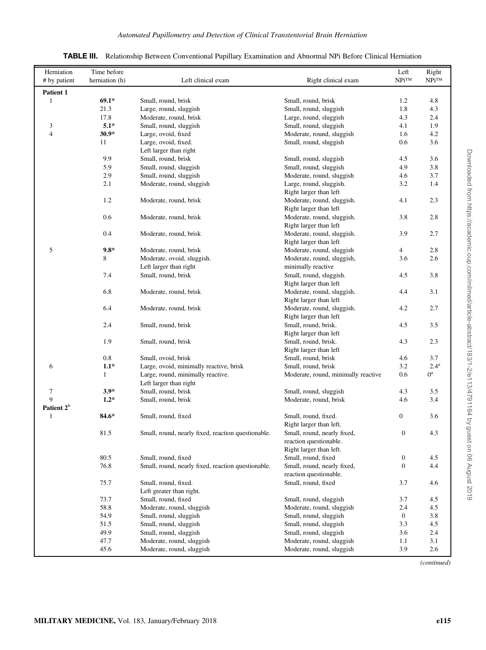<span id="page-2-0"></span>

| Herniation             | Time before    |                                                    |                                     | Left             | Right              |
|------------------------|----------------|----------------------------------------------------|-------------------------------------|------------------|--------------------|
| # by patient           | herniation (h) | Left clinical exam                                 | Right clinical exam                 | <b>NPiTM</b>     | $NPi^{TM}$         |
| <b>Patient 1</b>       |                |                                                    |                                     |                  |                    |
| $\mathbf{1}$           | $69.1*$        | Small, round, brisk                                | Small, round, brisk                 | 1.2              | 4.8                |
|                        | 21.3           | Large, round, sluggish                             | Small, round, sluggish              | 1.8              | 4.3                |
|                        | 17.8           | Moderate, round, brisk                             | Large, round, sluggish              | 4.3              | 2.4                |
| 3                      | $5.1*$         | Small, round, sluggish                             | Small, round, sluggish              | 4.1              | 1.9                |
| $\overline{4}$         | $30.9*$        | Large, ovoid, fixed                                | Moderate, round, sluggish           | 1.6              | 4.2                |
|                        | 11             | Large, ovoid, fixed.                               | Small, round, sluggish              | 0.6              | 3.6                |
|                        |                | Left larger than right                             |                                     |                  |                    |
|                        | 9.9            | Small, round, brisk                                | Small, round, sluggish              | 4.5              | 3.6                |
|                        | 5.9            | Small, round, sluggish                             | Small, round, sluggish              | 4.9              | 3.8                |
|                        | 2.9            | Small, round, sluggish                             | Moderate, round, sluggish           | 4.6              | 3.7                |
|                        | 2.1            | Moderate, round, sluggish                          | Large, round, sluggish.             | 3.2              | 1.4                |
|                        |                |                                                    | Right larger than left              |                  |                    |
|                        | 1.2            | Moderate, round, brisk                             | Moderate, round, sluggish.          | 4.1              | 2.3                |
|                        |                |                                                    | Right larger than left              |                  |                    |
|                        | 0.6            | Moderate, round, brisk                             | Moderate, round, sluggish.          | 3.8              | 2.8                |
|                        |                |                                                    | Right larger than left              |                  |                    |
|                        | 0.4            | Moderate, round, brisk                             | Moderate, round, sluggish.          | 3.9              | 2.7                |
|                        |                |                                                    | Right larger than left              |                  |                    |
| 5                      | $9.8*$         | Moderate, round, brisk                             | Moderate, round, sluggish           | $\overline{4}$   | 2.8                |
|                        | 8              | Moderate, ovoid, sluggish.                         | Moderate, round, sluggish,          | 3.6              | 2.6                |
|                        |                | Left larger than right                             | minimally reactive                  |                  |                    |
|                        | 7.4            | Small, round, brisk                                | Small, round, sluggish.             | 4.5              | 3.8                |
|                        |                |                                                    | Right larger than left              |                  |                    |
|                        | 6.8            | Moderate, round, brisk                             | Moderate, round, sluggish.          | 4.4              | 3.1                |
|                        |                |                                                    | Right larger than left              |                  |                    |
|                        | 6.4            | Moderate, round, brisk                             | Moderate, round, sluggish.          | 4.2              | 2.7                |
|                        |                |                                                    | Right larger than left              |                  |                    |
|                        | 2.4            | Small, round, brisk                                | Small, round, brisk.                | 4.5              | 3.5                |
|                        |                |                                                    | Right larger than left              |                  |                    |
|                        | 1.9            | Small, round, brisk                                | Small, round, brisk.                | 4.3              | 2.3                |
|                        |                |                                                    | Right larger than left              |                  |                    |
|                        | 0.8            | Small, ovoid, brisk                                | Small, round, brisk                 | 4.6              | 3.7                |
| 6                      | $1.1*$         | Large, ovoid, minimally reactive, brisk            | Small, round, brisk                 | 3.2              | $2.4^{\mathrm{a}}$ |
| 1                      |                | Large, round, minimally reactive.                  | Moderate, round, minimally reactive | 0.6              | $0^{\rm a}$        |
|                        |                | Left larger than right                             |                                     |                  |                    |
| 7                      | $3.9*$         | Small, round, brisk                                | Small, round, sluggish              | 4.3              | 3.5                |
| 9                      | $1.2*$         | Small, round, brisk                                | Moderate, round, brisk              | 4.6              | 3.4                |
| Patient 2 <sup>b</sup> |                |                                                    |                                     |                  |                    |
| 1                      | 84.6*          | Small, round, fixed                                | Small, round, fixed.                | $\mathbf{0}$     | 3.6                |
|                        |                |                                                    | Right larger than left.             |                  |                    |
|                        | 81.5           | Small, round, nearly fixed, reaction questionable. | Small, round, nearly fixed,         | $\boldsymbol{0}$ | 4.3                |
|                        |                |                                                    | reaction questionable.              |                  |                    |
|                        |                |                                                    | Right larger than left.             |                  |                    |
|                        | 80.5           | Small, round, fixed                                | Small, round, fixed                 | $\boldsymbol{0}$ | 4.5                |
|                        | 76.8           | Small, round, nearly fixed, reaction questionable. | Small, round, nearly fixed,         | $\boldsymbol{0}$ | 4.4                |
|                        |                |                                                    | reaction questionable.              |                  |                    |
|                        | 75.7           | Small, round, fixed.                               | Small, round, fixed                 | 3.7              | 4.6                |
|                        |                | Left greater than right.                           |                                     |                  |                    |
|                        | 73.7           | Small, round, fixed                                | Small, round, sluggish              | 3.7              | 4.5                |
|                        | 58.8           | Moderate, round, sluggish                          | Moderate, round, sluggish           | 2.4              | 4.5                |
|                        | 54.9           | Small, round, sluggish                             | Small, round, sluggish              | $\mathbf{0}$     | 3.8                |
|                        | 51.5           | Small, round, sluggish                             | Small, round, sluggish              | 3.3              | 4.5                |
|                        | 49.9           | Small, round, sluggish                             | Small, round, sluggish              | 3.6              | 2.4                |
|                        | 47.7           | Moderate, round, sluggish                          | Moderate, round, sluggish           | 1.1              | 3.1                |
|                        | 45.6           | Moderate, round, sluggish                          | Moderate, round, sluggish           | 3.9              | 2.6                |
|                        |                |                                                    |                                     |                  |                    |

TABLE III. Relationship Between Conventional Pupillary Examination and Abnormal NPi Before Clinical Herniation

Downloaded from https://academic.oup.com/milmed/article-abstract/183/1-2/e113/4791164 by guest on 06 August 2019 Downloaded from https://academic.oup.com/milmed/article-abstract/183/1-2/e113/4791164 by guest on 06 August 2019

(continued)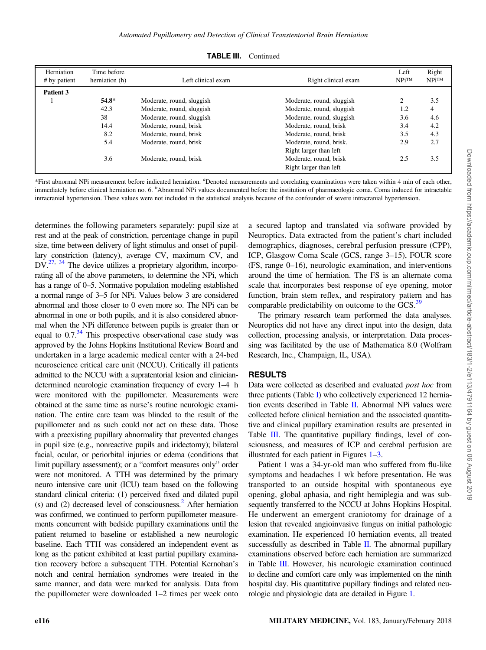| Herniation   | Time before    |                           |                           | Left     | Right      |
|--------------|----------------|---------------------------|---------------------------|----------|------------|
| # by patient | herniation (h) | Left clinical exam        | Right clinical exam       | $NPi$ TM | $NPi^{TM}$ |
| Patient 3    |                |                           |                           |          |            |
|              | 54.8*          | Moderate, round, sluggish | Moderate, round, sluggish | 2        | 3.5        |
|              | 42.3           | Moderate, round, sluggish | Moderate, round, sluggish | 1.2      | 4          |
|              | 38             | Moderate, round, sluggish | Moderate, round, sluggish | 3.6      | 4.6        |
|              | 14.4           | Moderate, round, brisk    | Moderate, round, brisk    | 3.4      | 4.2        |
|              | 8.2            | Moderate, round, brisk    | Moderate, round, brisk    | 3.5      | 4.3        |
|              | 5.4            | Moderate, round, brisk    | Moderate, round, brisk.   | 2.9      | 2.7        |
|              |                |                           | Right larger than left    |          |            |
|              | 3.6            | Moderate, round, brisk    | Moderate, round, brisk    | 2.5      | 3.5        |
|              |                |                           | Right larger than left    |          |            |

TABLE III. Continued

\*First abnormal NPi measurement before indicated herniation. "Denoted measurements and correlating examinations were taken within 4 min of each other, immediately before clinical herniation no. 6. <sup>b</sup>Abnormal NPi values documented before the institution of pharmacologic coma. Coma induced for intractable intracranial hypertension. These values were not included in the statistical analysis because of the confounder of severe intracranial hypertension.

determines the following parameters separately: pupil size at rest and at the peak of constriction, percentage change in pupil size, time between delivery of light stimulus and onset of pupillary constriction (latency), average CV, maximum CV, and  $DV^{27, 34}$  $DV^{27, 34}$  $DV^{27, 34}$  The device utilizes a proprietary algorithm, incorporating all of the above parameters, to determine the NPi, which has a range of 0–5. Normative population modeling established a normal range of 3–5 for NPi. Values below 3 are considered abnormal and those closer to 0 even more so. The NPi can be abnormal in one or both pupils, and it is also considered abnormal when the NPi difference between pupils is greater than or equal to  $0.7<sup>34</sup>$  This prospective observational case study was approved by the Johns Hopkins Institutional Review Board and undertaken in a large academic medical center with a 24-bed neuroscience critical care unit (NCCU). Critically ill patients admitted to the NCCU with a supratentorial lesion and cliniciandetermined neurologic examination frequency of every 1–4 h were monitored with the pupillometer. Measurements were obtained at the same time as nurse's routine neurologic examination. The entire care team was blinded to the result of the pupillometer and as such could not act on these data. Those with a preexisting pupillary abnormality that prevented changes in pupil size (e.g., nonreactive pupils and iridectomy); bilateral facial, ocular, or periorbital injuries or edema (conditions that limit pupillary assessment); or a "comfort measures only" order were not monitored. A TTH was determined by the primary neuro intensive care unit (ICU) team based on the following standard clinical criteria: (1) perceived fixed and dilated pupil (s) and (2) decreased level of consciousness. $<sup>2</sup>$  After herniation</sup> was confirmed, we continued to perform pupillometer measurements concurrent with bedside pupillary examinations until the patient returned to baseline or established a new neurologic baseline. Each TTH was considered an independent event as long as the patient exhibited at least partial pupillary examination recovery before a subsequent TTH. Potential Kernohan's notch and central herniation syndromes were treated in the same manner, and data were marked for analysis. Data from the pupillometer were downloaded 1–2 times per week onto

a secured laptop and translated via software provided by Neuroptics. Data extracted from the patient's chart included demographics, diagnoses, cerebral perfusion pressure (CPP), ICP, Glasgow Coma Scale (GCS, range 3–15), FOUR score (FS, range 0–16), neurologic examination, and interventions around the time of herniation. The FS is an alternate coma scale that incorporates best response of eye opening, motor function, brain stem reflex, and respiratory pattern and has comparable predictability on outcome to the GCS.<sup>[39](#page-8-0)</sup>

The primary research team performed the data analyses. Neuroptics did not have any direct input into the design, data collection, processing analysis, or interpretation. Data processing was facilitated by the use of Mathematica 8.0 (Wolfram Research, Inc., Champaign, IL, USA).

## RESULTS

Data were collected as described and evaluated post hoc from three patients (Table [I\)](#page-1-0) who collectively experienced 12 herniation events described in Table [II](#page-1-0). Abnormal NPi values were collected before clinical herniation and the associated quantitative and clinical pupillary examination results are presented in Table [III](#page-2-0). The quantitative pupillary findings, level of consciousness, and measures of ICP and cerebral perfusion are illustrated for each patient in Figures [1](#page-4-0)–[3.](#page-7-0)

Patient 1 was a 34-yr-old man who suffered from flu-like symptoms and headaches 1 wk before presentation. He was transported to an outside hospital with spontaneous eye opening, global aphasia, and right hemiplegia and was subsequently transferred to the NCCU at Johns Hopkins Hospital. He underwent an emergent craniotomy for drainage of a lesion that revealed angioinvasive fungus on initial pathologic examination. He experienced 10 herniation events, all treated successfully as described in Table [II](#page-1-0). The abnormal pupillary examinations observed before each herniation are summarized in Table [III.](#page-2-0) However, his neurologic examination continued to decline and comfort care only was implemented on the ninth hospital day. His quantitative pupillary findings and related neurologic and physiologic data are detailed in Figure [1](#page-4-0).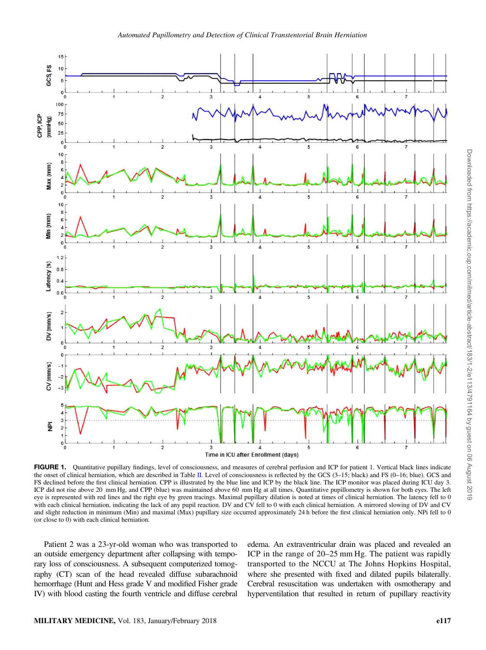<span id="page-4-0"></span>

FIGURE 1. Quantitative pupillary findings, level of consciousness, and measures of cerebral perfusion and ICP for patient 1. Vertical black lines indicate the onset of clinical herniation, which are described in Table [II.](#page-1-0) Level of consciousness is reflected by the GCS (3–15; black) and FS (0–16; blue). GCS and FS declined before the first clinical herniation. CPP is illustrated by the blue line and ICP by the black line. The ICP monitor was placed during ICU day 3. ICP did not rise above 20 mm Hg, and CPP (blue) was maintained above 60 mm Hg at all times. Quantitative pupillometry is shown for both eyes. The left eye is represented with red lines and the right eye by green tracings. Maximal pupillary dilation is noted at times of clinical herniation. The latency fell to 0 with each clinical herniation, indicating the lack of any pupil reaction. DV and CV fell to 0 with each clinical herniation. A mirrored slowing of DV and CV and slight reduction in minimum (Min) and maximal (Max) pupillary size occurred approximately 24 h before the first clinical herniation only. NPi fell to 0 (or close to 0) with each clinical herniation.

Patient 2 was a 23-yr-old woman who was transported to an outside emergency department after collapsing with temporary loss of consciousness. A subsequent computerized tomography (CT) scan of the head revealed diffuse subarachnoid hemorrhage (Hunt and Hess grade V and modified Fisher grade IV) with blood casting the fourth ventricle and diffuse cerebral edema. An extraventricular drain was placed and revealed an ICP in the range of 20–25 mm Hg. The patient was rapidly transported to the NCCU at The Johns Hopkins Hospital, where she presented with fixed and dilated pupils bilaterally. Cerebral resuscitation was undertaken with osmotherapy and hyperventilation that resulted in return of pupillary reactivity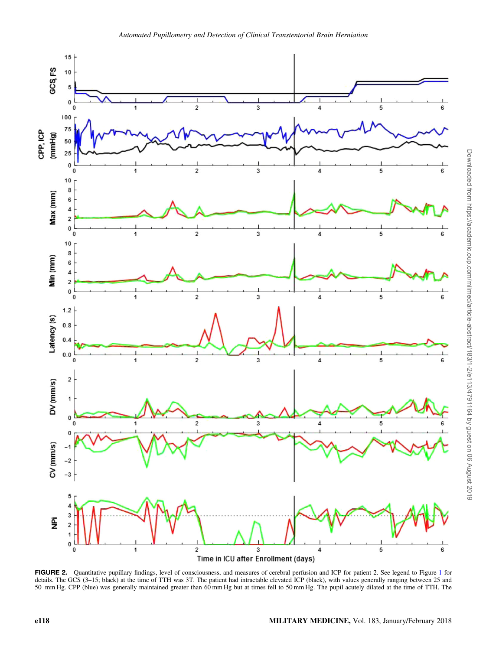<span id="page-5-0"></span>

FIGURE 2. Quantitative pupillary findings, level of consciousness, and measures of cerebral perfusion and ICP for patient 2. See legend to Figure [1](#page-4-0) for details. The GCS (3–15; black) at the time of TTH was 3T. The patient had intractable elevated ICP (black), with values generally ranging between 25 and 50 mm Hg. CPP (blue) was generally maintained greater than 60 mm Hg but at times fell to 50 mm Hg. The pupil acutely dilated at the time of TTH. The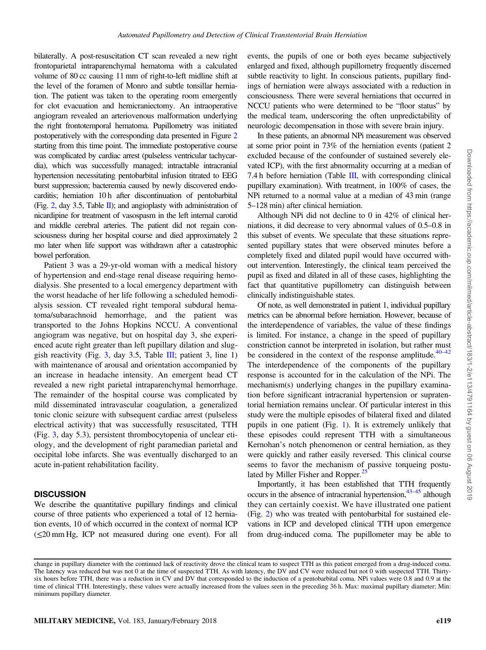bilaterally. A post-resuscitation CT scan revealed a new right frontoparietal intraparenchymal hematoma with a calculated volume of 80 cc causing 11 mm of right-to-left midline shift at the level of the foramen of Monro and subtle tonsillar herniation. The patient was taken to the operating room emergently for clot evacuation and hemicraniectomy. An intraoperative angiogram revealed an arteriovenous malformation underlying the right frontotemporal hematoma. Pupillometry was initiated postoperatively with the corresponding data presented in Figure [2](#page-5-0) starting from this time point. The immediate postoperative course was complicated by cardiac arrest (pulseless ventricular tachycardia), which was successfully managed; intractable intracranial hypertension necessitating pentobarbital infusion titrated to EEG burst suppression; bacteremia caused by newly discovered endocarditis; herniation 10 h after discontinuation of pentobarbital (Fig. [2,](#page-5-0) day 3.5, Table [II\)](#page-1-0); and angioplasty with administration of nicardipine for treatment of vasospasm in the left internal carotid and middle cerebral arteries. The patient did not regain consciousness during her hospital course and died approximately 2 mo later when life support was withdrawn after a catastrophic bowel perforation.

Patient 3 was a 29-yr-old woman with a medical history of hypertension and end-stage renal disease requiring hemodialysis. She presented to a local emergency department with the worst headache of her life following a scheduled hemodialysis session. CT revealed right temporal subdural hematoma/subarachnoid hemorrhage, and the patient was transported to the Johns Hopkins NCCU. A conventional angiogram was negative, but on hospital day 3, she experienced acute right greater than left pupillary dilation and slug-gish reactivity (Fig. [3,](#page-7-0) day 3.5, Table [III](#page-2-0); patient 3, line 1) with maintenance of arousal and orientation accompanied by an increase in headache intensity. An emergent head CT revealed a new right parietal intraparenchymal hemorrhage. The remainder of the hospital course was complicated by mild disseminated intravascular coagulation, a generalized tonic clonic seizure with subsequent cardiac arrest (pulseless electrical activity) that was successfully resuscitated, TTH (Fig. [3](#page-7-0), day 5.3), persistent thrombocytopenia of unclear etiology, and the development of right paramedian parietal and occipital lobe infarcts. She was eventually discharged to an acute in-patient rehabilitation facility.

#### **DISCUSSION**

We describe the quantitative pupillary findings and clinical course of three patients who experienced a total of 12 herniation events, 10 of which occurred in the context of normal ICP  $(\leq 20 \text{ mm Hg}, \text{ ICP not measured during one event})$ . For all events, the pupils of one or both eyes became subjectively enlarged and fixed, although pupillometry frequently discerned subtle reactivity to light. In conscious patients, pupillary findings of herniation were always associated with a reduction in consciousness. There were several herniations that occurred in NCCU patients who were determined to be "floor status" by the medical team, underscoring the often unpredictability of neurologic decompensation in those with severe brain injury.

In these patients, an abnormal NPi measurement was observed at some prior point in 73% of the herniation events (patient 2 excluded because of the confounder of sustained severely elevated ICP), with the first abnormality occurring at a median of 7.4 h before herniation (Table  $III$ , with corresponding clinical pupillary examination). With treatment, in 100% of cases, the NPi returned to a normal value at a median of 43 min (range 5–128 min) after clinical herniation.

Although NPi did not decline to 0 in 42% of clinical herniations, it did decrease to very abnormal values of 0.5–0.8 in this subset of events. We speculate that these situations represented pupillary states that were observed minutes before a completely fixed and dilated pupil would have occurred without intervention. Interestingly, the clinical team perceived the pupil as fixed and dilated in all of these cases, highlighting the fact that quantitative pupillometry can distinguish between clinically indistinguishable states.

Of note, as well demonstrated in patient 1, individual pupillary metrics can be abnormal before herniation. However, because of the interdependence of variables, the value of these findings is limited. For instance, a change in the speed of pupillary constriction cannot be interpreted in isolation, but rather must be considered in the context of the response amplitude. $40-42$  $40-42$ The interdependence of the components of the pupillary response is accounted for in the calculation of the NPi. The mechanism(s) underlying changes in the pupillary examination before significant intracranial hypertension or supratentorial herniation remains unclear. Of particular interest in this study were the multiple episodes of bilateral fixed and dilated pupils in one patient (Fig. [1\)](#page-4-0). It is extremely unlikely that these episodes could represent TTH with a simultaneous Kernohan's notch phenomenon or central herniation, as they were quickly and rather easily reversed. This clinical course seems to favor the mechanism of passive torqueing postulated by Miller Fisher and Ropper.<sup>25</sup>

Importantly, it has been established that TTH frequently occurs in the absence of intracranial hypertension, $43-45$  $43-45$  although they can certainly coexist. We have illustrated one patient (Fig. [2\)](#page-5-0) who was treated with pentobarbital for sustained elevations in ICP and developed clinical TTH upon emergence from drug-induced coma. The pupillometer may be able to

change in pupillary diameter with the continued lack of reactivity drove the clinical team to suspect TTH as this patient emerged from a drug-induced coma. The latency was reduced but was not 0 at the time of suspected TTH. As with latency, the DV and CV were reduced but not 0 with suspected TTH. Thirtysix hours before TTH, there was a reduction in CV and DV that corresponded to the induction of a pentobarbital coma. NPi values were 0.8 and 0.9 at the time of clinical TTH. Interestingly, these values were actually increased from the values seen in the preceding 36 h. Max: maximal pupillary diameter; Min: minimum pupillary diameter.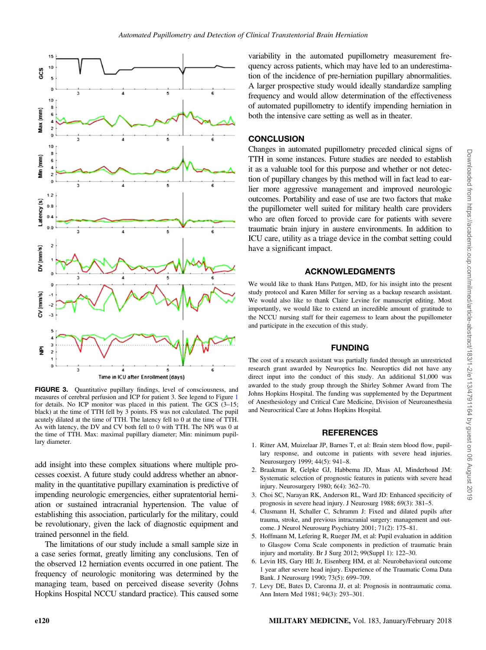<span id="page-7-0"></span>

FIGURE 3. Quantitative pupillary findings, level of consciousness, and measures of cerebral perfusion and ICP for patient 3. See legend to Figure [1](#page-4-0) for details. No ICP monitor was placed in this patient. The GCS (3–15; black) at the time of TTH fell by 3 points. FS was not calculated. The pupil acutely dilated at the time of TTH. The latency fell to 0 at the time of TTH. As with latency, the DV and CV both fell to 0 with TTH. The NPi was 0 at the time of TTH. Max: maximal pupillary diameter; Min: minimum pupillary diameter.

add insight into these complex situations where multiple processes coexist. A future study could address whether an abnormality in the quantitative pupillary examination is predictive of impending neurologic emergencies, either supratentorial herniation or sustained intracranial hypertension. The value of establishing this association, particularly for the military, could be revolutionary, given the lack of diagnostic equipment and trained personnel in the field.

The limitations of our study include a small sample size in a case series format, greatly limiting any conclusions. Ten of the observed 12 herniation events occurred in one patient. The frequency of neurologic monitoring was determined by the managing team, based on perceived disease severity (Johns Hopkins Hospital NCCU standard practice). This caused some variability in the automated pupillometry measurement frequency across patients, which may have led to an underestimation of the incidence of pre-herniation pupillary abnormalities. A larger prospective study would ideally standardize sampling frequency and would allow determination of the effectiveness of automated pupillometry to identify impending herniation in both the intensive care setting as well as in theater.

## **CONCLUSION**

Changes in automated pupillometry preceded clinical signs of TTH in some instances. Future studies are needed to establish it as a valuable tool for this purpose and whether or not detection of pupillary changes by this method will in fact lead to earlier more aggressive management and improved neurologic outcomes. Portability and ease of use are two factors that make the pupillometer well suited for military health care providers who are often forced to provide care for patients with severe traumatic brain injury in austere environments. In addition to ICU care, utility as a triage device in the combat setting could have a significant impact.

## ACKNOWLEDGMENTS

We would like to thank Hans Puttgen, MD, for his insight into the present study protocol and Karen Miller for serving as a backup research assistant. We would also like to thank Claire Levine for manuscript editing. Most importantly, we would like to extend an incredible amount of gratitude to the NCCU nursing staff for their eagerness to learn about the pupillometer and participate in the execution of this study.

#### FUNDING

The cost of a research assistant was partially funded through an unrestricted research grant awarded by Neuroptics Inc. Neuroptics did not have any direct input into the conduct of this study. An additional \$1,000 was awarded to the study group through the Shirley Sohmer Award from The Johns Hopkins Hospital. The funding was supplemented by the Department of Anesthesiology and Critical Care Medicine, Division of Neuroanesthesia and Neurocritical Care at Johns Hopkins Hospital.

#### REFERENCES

- 1. Ritter AM, Muizelaar JP, Barnes T, et al: Brain stem blood flow, pupillary response, and outcome in patients with severe head injuries. Neurosurgery 1999; 44(5): 941–8.
- 2. Braakman R, Gelpke GJ, Habbema JD, Maas AI, Minderhoud JM: Systematic selection of prognostic features in patients with severe head injury. Neurosurgery 1980; 6(4): 362–70.
- 3. Choi SC, Narayan RK, Anderson RL, Ward JD: Enhanced specificity of prognosis in severe head injury. J Neurosurg 1988; 69(3): 381–5.
- 4. Clusmann H, Schaller C, Schramm J: Fixed and dilated pupils after trauma, stroke, and previous intracranial surgery: management and outcome. J Neurol Neurosurg Psychiatry 2001; 71(2): 175–81.
- 5. Hoffmann M, Lefering R, Rueger JM, et al: Pupil evaluation in addition to Glasgow Coma Scale components in prediction of traumatic brain injury and mortality. Br J Surg 2012; 99(Suppl 1): 122–30.
- 6. Levin HS, Gary HE Jr, Eisenberg HM, et al: Neurobehavioral outcome 1 year after severe head injury. Experience of the Traumatic Coma Data Bank. J Neurosurg 1990; 73(5): 699–709.
- 7. Levy DE, Bates D, Caronna JJ, et al: Prognosis in nontraumatic coma. Ann Intern Med 1981; 94(3): 293–301.